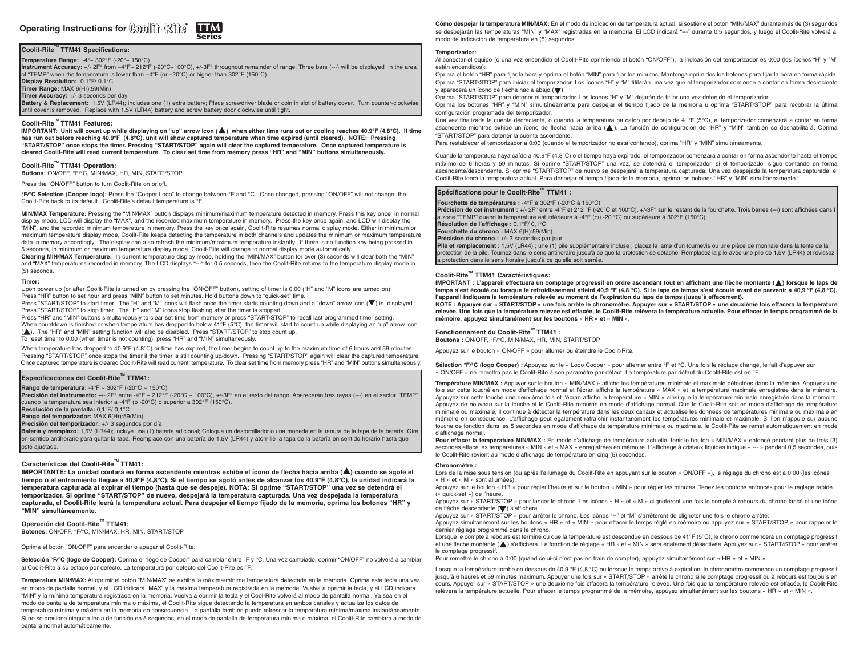# **Operating Instructions for Coolin-Ring**

# **Coolit-RiteTM TTM41 Specifications:**

**Temperature Range:** -4°~ 302°F (-20°~ 150°C)

**Instrument Accuracy:** +/- 2F° from –4°F~ 212°F (-20°C~100°C), +/-3F° throughout remainder of range. Three bars (---) will be displayed in the area<br>of "TEMP" when the temperature is lower than –4°F (or –20°C) or higher t

**Display Resolution:** 0.1°F/ 0.1°C

**Timer Range:** MAX 6(Hr):59(Min)

**Timer Accuracy:** +/- 3 seconds per day

**Battery & Replacement:** 1.5V (LR44); includes one (1) extra battery; Place screwdriver blade or coin in slot of battery cover. Turn counter-clockwise until cover is removed. Replace with 1.5V (LR44) battery and screw battery door clockwise until tight.

## **Coolit-RiteTM TTM41 Features:**

**IMPORTANT:** Unit will count up while displaying on "up" arrow icon ( $\triangle$ ) when either time runs out or cooling reaches 40.9°F (4.8°C). If time **has run out before reaching 40.9°F (4.8°C), unit will show captured temperature when time expired (until cleared). NOTE: Pressing "START/STOP" once stops the timer. Pressing "START/STOP" again will clear the captured temperature. Once captured temperature is cleared Coolit-Rite will read current temperature. To clear set time from memory press "HR" and "MIN" buttons simultaneously.**

# **Coolit-RiteTM TTM41 Operation:**

**Buttons:** ON/OFF, °F/°C, MIN/MAX, HR, MIN, START/STOP

#### Press the "ON/OFF" button to turn Coolit-Rite on or off.

**°F/°C Selection (Cooper logo):** Press the "Cooper Logo" to change between °F and °C. Once changed, pressing "ON/OFF" will not change the Coolit-Rite back to its default. Coolit-Rite's default temperature is °F.

**MIN/MAX Temperature:** Pressing the "MIN/MAX" button displays minimum/maximum temperature detected in memory. Press this key once in normal display mode, LCD will display the "MAX", and the recorded maximum temperature in memory. Press the key once again, and LCD will display the "MIN", and the recorded minimum temperature in memory. Press the key once again, Coolit-Rite resumes normal display mode. Either in minimum or maximum temperature display mode, Coolit-Rite keeps detecting the temperature in both channels and updates the minimum or maximum temperature data in memory accordingly. The display can also refresh the minimum/maximum temperature instantly. If there is no function key being pressed in 5 seconds, in minimum or maximum temperature display mode, Coolit-Rite will change to normal display mode automatically.

**Clearing MIN/MAX Temperature:** In current temperature display mode, holding the "MIN/MAX" button for over (3) seconds will clear both the "MIN" and "MAX" temperatures recorded in memory. The LCD displays "---" for 0.5 seconds, then the Coolit-Rite returns to the temperature display mode in (5) seconds.

#### **Timer:**

Upon power up (or after Coolit-Rite is turned on by pressing the "ON/OFF" button), setting of timer is 0:00 ("H" and "M" icons are turned on): Press "HR" button to set hour and press "MIN" button to set minutes. Hold buttons down to "quick-set" time.

Press "START/STOP" to start timer. The "H" and "M" icons will flash once the timer starts counting down and a "down" arrow icon ( $\blacktriangledown$ ) is displayed. Press "START/STOP" to stop timer. The "H" and "M" icons stop flashing after the timer is stopped.

Press "HR" and "MIN" buttons simultaneously to clear set time from memory or press "START/STOP" to recall last programmed timer setting.

When countdown is finished or when temperature has dropped to below 41°F (5°C), the timer will start to count up while displaying an "up" arrow icon (A). The "HR" and "MIN" setting function will also be disabled. Press "START/STOP" to stop count up.

To reset timer to 0:00 (when timer is not counting), press "HR" and "MIN" simultaneously.

When temperature has dropped to 40.9°F (4.8°C) or time has expired, the timer begins to count up to the maximum time of 6 hours and 59 minutes. Pressing "START/STOP" once stops the timer if the timer is still counting up/down. Pressing "START/STOP" again will clear the captured temperature. Once captured temperature is cleared Coolit-Rite will read current temperature. To clear set time from memory press "HR" and "MIN" buttons simultaneously.

## **Especificaciones del Coolit-RiteTM TTM41:**

**Rango de temperatura:** -4°F ~ 302°F (-20°C ~ 150°C)

**Precisión del instrumento:** +/- 2F° entre -4°F ~ 212°F (-20°C ~ 100°C), +/-3F° en el resto del rango. Aparecerán tres rayas (---) en el sector "TEMP" cuando la temperatura sea inferior a -4°F (o -20°C) o superior a 302°F (150°C).

**Resolución de la pantalla:** 0,1°F/ 0,1°C

**Rango del temporizador:** MAX 6(Hr):59(Min)

**Precisión del temporizador:** +/- 3 segundos por día

**Batería y reemplazo:** 1,5V (LR44); incluye una (1) batería adicional; Coloque un destornillador o una moneda en la ranura de la tapa de la batería. Gire en sentido antihorario para quitar la tapa. Reemplace con una batería de 1,5V (LR44) y atornille la tapa de la batería en sentido horario hasta que esté ajustado.

# **Características del Coolit-RiteTM TTM41:**

**IMPORTANTE:** La unidad contará en forma ascendente mientras exhibe el ícono de flecha hacia arriba ( $\triangle$ ) cuando se agote el **tiempo o el enfriamiento llegue a 40,9°F (4,8°C). Si el tiempo se agotó antes de alcanzar los 40,9°F (4,8°C), la unidad indicará la temperatura capturada al expirar el tiempo (hasta que se despeje). NOTA: Si oprime "START/STOP" una vez se detendrá el temporizador. Si oprime "START/STOP" de nuevo, despejará la temperatura capturada. Una vez despejada la temperatura capturada, el Coolit-Rite leerá la temperatura actual. Para despejar el tiempo fijado de la memoria, oprima los botones "HR" y "MIN" simultáneamente.**

# **Operación del Coolit-RiteTM TTM41:**

**Botones:** ON/OFF, °F/°C, MIN/MAX, HR, MIN, START/STOP

# Oprima el botón "ON/OFF" para encender o apagar el Coolit-Rite.

**Selección °F/°C (logo de Cooper):** Oprima el "logo de Cooper" para cambiar entre °F y °C. Una vez cambiado, oprimir "ON/OFF" no volverá a cambiar al Coolit-Rite a su estado por defecto. La temperatura por defecto del Coolit-Rite es °F.

**Temperatura MIN/MAX:** Al oprimir el botón "MIN/MAX" se exhibe la máxima/mínima temperatura detectada en la memoria. Oprima esta tecla una vez en modo de pantalla normal, y el LCD indicará "MAX" y la máxima temperatura registrada en la memoria. Vuelva a oprimir la tecla, y el LCD indicará "MIN" y la mínima temperatura registrada en la memoria. Vuelva a oprimir la tecla y el Cool-Rite volverá al modo de pantalla normal. Ya sea en el modo de pantalla de temperatura mínima o máxima, el Coolit-Rite sigue detectando la temperatura en ambos canales y actualiza los datos de temperatura mínima y máxima en la memoria en consecuencia. La pantalla también puede refrescar la temperatura mínima/máxima instantáneamente. Si no se presiona ninguna tecla de función en 5 segundos, en el modo de pantalla de temperatura mínima o máxima, el Coolit-Rite cambiará a modo de pantalla normal automáticamente.

**Cómo despejar la temperatura MIN/MAX:** En el modo de indicación de temperatura actual, si sostiene el botón "MIN/MAX" durante más de (3) segundos se despejarán las temperaturas "MIN" y "MAX" registradas en la memoria. El LCD indicará "---" durante 0,5 segundos, y luego el Coolit-Rite volverá al modo de indicación de temperatura en (5) segundos.

#### **Temporizador:**

Al conectar el equipo (o una vez encendido el Coolit-Rite oprimiendo el botón "ON/OFF"), la indicación del temporizador es 0:00 (los íconos "H" y "M" están encendidos):

Oprima el botón "HR" para fijar la hora y oprima el botón "MIN" para fijar los minutos. Mantenga oprimidos los botones para fijar la hora en forma rápida. Oprima "START/STOP" para iniciar el temporizador. Los íconos "H" y "M" titilarán una vez que el temporizador comience a contar en forma decreciente y aparecerá un ícono de flecha hacia abajo  $(\blacktriangledown)$ .

Oprima "START/STOP" para detener el temporizador. Los íconos "H" y "M" dejarán de titilar una vez detenido el temporizador.

Oprima los botones "HR" y "MIN" simultáneamente para despejar el tiempo fijado de la memoria u oprima "START/STOP" para recobrar la última configuración programada del temporizador.

Una vez finalizada la cuenta decreciente, o cuando la temperatura ha caído por debajo de 41°F (5°C), el temporizador comenzará a contar en forma ascendente mientras exhibe un ícono de flecha hacia arriba ( ). La función de configuración de "HR" y "MIN" también se deshabilitará. Oprima "START/STOP" para detener la cuenta ascendente.

Para restablecer el temporizador a 0:00 (cuando el temporizador no está contando), oprima "HR" y "MIN" simultáneamente.

Cuando la temperatura haya caído a 40,9°F (4,8°C) o el tiempo haya expirado, el temporizador comenzará a contar en forma ascendente hasta el tiempo máximo de 6 horas y 59 minutos. Si oprime "START/STOP" una vez, se detendrá el temporizador, si el temporizador sigue contando en forma ascendente/descendente. Si oprime "START/STOP" de nuevo se despejará la temperatura capturada. Una vez despejada la temperatura capturada, el Coolit-Rite leerá la temperatura actual. Para despejar el tiempo fijado de la memoria, oprima los botones "HR" y "MIN" simultáneamente.

## **Spécifications pour le Coolit-RiteTM TTM41 :**

**Fourchette de températures :** -4°F à 302°F (-20°C à 150°C) **Précision de cet instrument :** +/- 2F° entre -4°F et 212 °F (-20°C et 100°C), +/-3F° sur le restant de la fourchette. Trois barres (---) sont affichées dans l a zone "TEMP" quand la température est inférieure à -4°F (ou -20 °C) ou supérieure à 302°F (150°C). **Résolution de l'affichage :** 0,1°F/ 0,1°C **Fourchette du chrono :** MAX 6(H):59(Min) **Précision du chrono :** +/- 3 secondes par jour **Pile et remplacement :** 1,5V (LR44) ; une (1) pile supplémentaire incluse ; placez la lame d'un tournevis ou une pièce de monnaie dans la fente de la protection de la pile. Tournez dans le sens antihoraire jusqu'à ce que la protection se détache. Remplacez la pile avec une pile de 1,5V (LR44) et revissez l a protection dans le sens horaire jusqu'à ce qu'elle soit serrée.

# **Coolit-RiteTM TTM41 Caractéristiques:**

**IMPORTANT** : L'appareil effectuera un comptage progressif en ordre ascendant tout en affichant une flèche montante ( $\blacktriangle$ ) lorsque le laps de **temps s'est écoulé ou lorsque le refroidissement atteint 40,9 °F (4,8 °C). Si le laps de temps s'est écoulé avant de parvenir à 40,9 ºF (4,8 ºC), l'appareil indiquera la température relevée au moment de l'expiration du laps de temps (jusqu'à effacement).** 

**NOTE : Appuyer sur « START/STOP » une fois arrête le chronomètre. Appuyer sur « START/STOP » une deuxième fois effacera la température relevée. Une fois que la température relevée est effacée, le Coolit-Rite relèvera la température actuelle. Pour effacer le temps programmé de la mémoire, appuyez simultanément sur les boutons « HR » et « MIN ».**

# **Fonctionnement du Coolit-RiteTM TTM41 :**

**Boutons :** ON/OFF, °F/°C, MIN/MAX, HR, MIN, START/STOP

Appuyez sur le bouton « ON/OFF » pour allumer ou éteindre le Coolit-Rite.

Sélection °F/°C (logo Cooper) : Appuyez sur le « Logo Cooper » pour alterner entre °F et °C. Une fois le réglage changé, le fait d'appuyer sur « ON/OFF » ne remettra pas le Coolit-Rite à son paramètre par défaut. La température par défaut du Coolit-Rite est en °F.

**Température MIN/MAX :** Appuyer sur le bouton « MIN/MAX » affiche les températures minimale et maximale détectées dans la mémoire. Appuyez une fois sur cette touché en mode d'affichage normal et l'écran affiche la température « MAX » et la température maximale enregistrée dans la mémoire. Appuyez sur cette touché une deuxième fois et l'écran affiche la température « MIN » ainsi que la température minimale enregistrée dans la mémoire. Appuyez de nouveau sur la touche et le Coolit-Rite retourne en mode d'affichage normal. Que le Coolit-Rite soit en mode d'affichage de température minimale ou maximale, il continue à détecter la température dans les deux canaux et actualise les données de températures minimale ou maximale en mémoire en conséquence. L'affichage peut également rafraîchir instantanément les températures minimale et maximale. Si l'on n'appuie sur aucune touche de fonction dans les 5 secondes en mode d'affichage de température minimale ou maximale, le Coolit-Rite se remet automatiquement en mode d'affichage normal.

Pour effacer la température MIN/MAX : En mode d'affichage de température actuelle, tenir le bouton « MIN/MAX » enfoncé pendant plus de trois (3) secondes efface les températures « MIN » et « MAX » enregistrées en mémoire. L'affichage à cristaux liquides indique « --- » pendant 0,5 secondes, puis le Coolit-Rite revient au mode d'affichage de température en cinq (5) secondes.

#### **Chronomètre :**

Lors de la mise sous tension (ou après l'allumage du Coolit-Rite en appuyant sur le bouton « ON/OFF »), le réglage du chrono est à 0:00 (les icônes « H » et « M » sont allumées).

Appuyez sur le bouton « HR » pour régler l'heure et sur le bouton « MIN » pour régler les minutes. Tenez les boutons enfoncés pour le réglage rapide (« quick-set ») de l'heure.

Appuyez sur « START/STOP » pour lancer le chrono. Les icônes « H » et « M » clignoteront une fois le compte à rebours du chrono lancé et une icône de flèche descendante (V) s'affichera.

Appuyez sur « START/STOP » pour arrêter le chrono. Les icônes "H" et "M" s'arrêteront de clignoter une fois le chrono arrêté.

Appuyez simultanément sur les boutons « HR » et « MIN » pour effacer le temps réglé en mémoire ou appuyez sur « START/STOP » pour rappeler le dernier réglage programmé dans le chrono.

Lorsque le compte à rebours est terminé ou que la température est descendue en dessous de 41°F (5°C), le chrono commencera un comptage progressif et une flèche montante (A) s'affichera. La fonction de réglage « HR » et « MIN » sera également désactivée. Appuyez sur « START/STOP » pour arrêter le comptage progressif.

Pour remettre le chrono à 0:00 (quand celui-ci n'est pas en train de compter), appuyez simultanément sur « HR » et « MIN ».

Lorsque la température tombe en dessous de 40.9 °F (4.8 °C) ou lorsque le temps arrive à expiration, le chronomètre commence un comptage progressif jusqu'à 6 heures et 59 minutes maximum. Appuyer une fois sur « START/STOP » arrête le chrono si le comptage progressif ou à rebours est toujours en cours. Appuyer sur « START/STOP » une deuxième fois effacera la température relevée. Une fois que la température relevée est effacée, le Coolit-Rite relèvera la température actuelle. Pour effacer le temps programmé de la mémoire, appuyez simultanément sur les boutons « HR » et « MIN ».